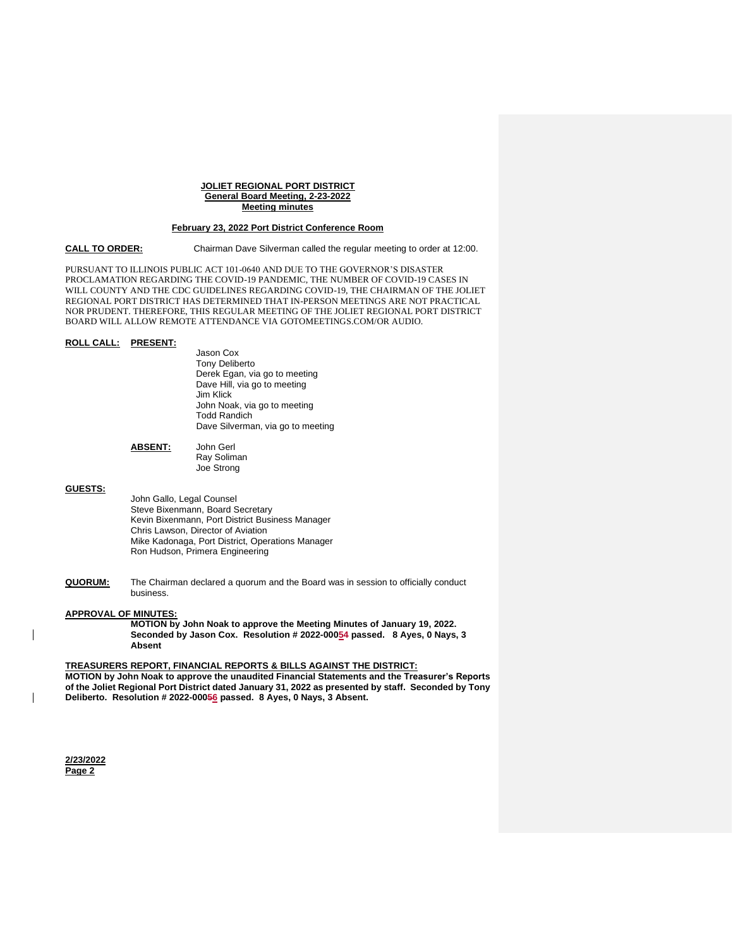#### **JOLIET REGIONAL PORT DISTRICT General Board Meeting, 2-23-2022 Meeting minutes**

#### **February 23, 2022 Port District Conference Room**

**CALL TO ORDER:** Chairman Dave Silverman called the regular meeting to order at 12:00.

PURSUANT TO ILLINOIS PUBLIC ACT 101-0640 AND DUE TO THE GOVERNOR'S DISASTER PROCLAMATION REGARDING THE COVID-19 PANDEMIC, THE NUMBER OF COVID-19 CASES IN WILL COUNTY AND THE CDC GUIDELINES REGARDING COVID-19, THE CHAIRMAN OF THE JOLIET REGIONAL PORT DISTRICT HAS DETERMINED THAT IN-PERSON MEETINGS ARE NOT PRACTICAL NOR PRUDENT. THEREFORE, THIS REGULAR MEETING OF THE JOLIET REGIONAL PORT DISTRICT BOARD WILL ALLOW REMOTE ATTENDANCE VIA GOTOMEETINGS.COM/OR AUDIO.

### **ROLL CALL: PRESENT:**

Jason Cox Tony Deliberto Derek Egan, via go to meeting Dave Hill, via go to meeting Jim Klick John Noak, via go to meeting Todd Randich Dave Silverman, via go to meeting

### **ABSENT:** John Gerl Ray Soliman Joe Strong

### **GUESTS:**

John Gallo, Legal Counsel Steve Bixenmann, Board Secretary Kevin Bixenmann, Port District Business Manager Chris Lawson, Director of Aviation Mike Kadonaga, Port District, Operations Manager Ron Hudson, Primera Engineering

**QUORUM:** The Chairman declared a quorum and the Board was in session to officially conduct business.

### **APPROVAL OF MINUTES:**

**MOTION by John Noak to approve the Meeting Minutes of January 19, 2022. Seconded by Jason Cox. Resolution # 2022-00054 passed. 8 Ayes, 0 Nays, 3 Absent**

### **TREASURERS REPORT, FINANCIAL REPORTS & BILLS AGAINST THE DISTRICT:**

**MOTION by John Noak to approve the unaudited Financial Statements and the Treasurer's Reports of the Joliet Regional Port District dated January 31, 2022 as presented by staff. Seconded by Tony Deliberto. Resolution # 2022-00056 passed. 8 Ayes, 0 Nays, 3 Absent.**

**2/23/2022 Page 2**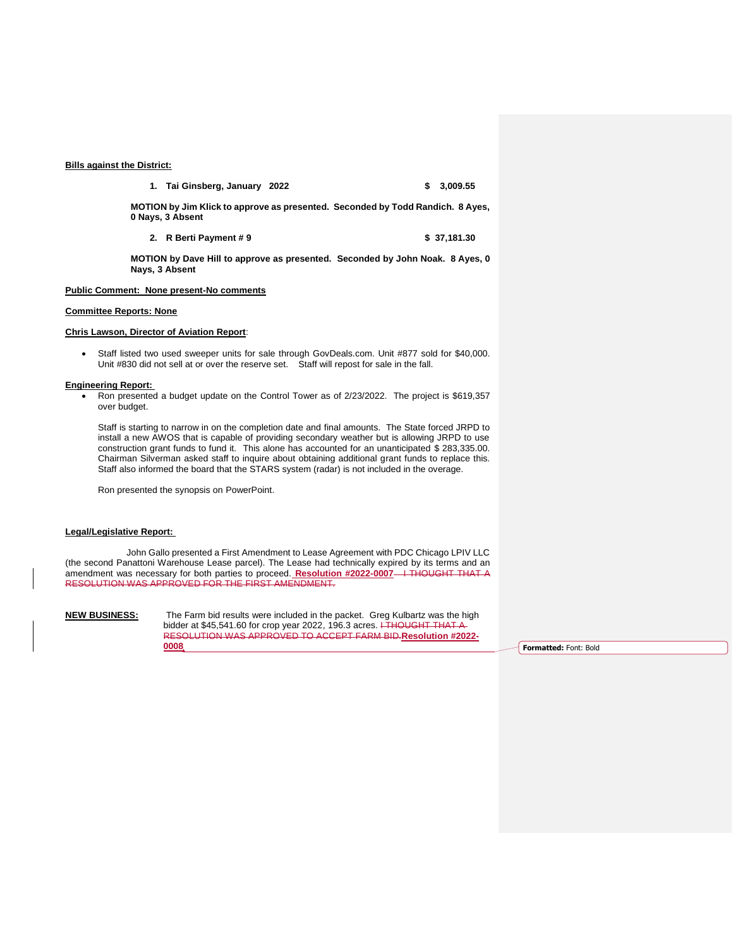## **Bills against the District:**

**1. Tai Ginsberg, January 2022 \$ 3,009.55**

**MOTION by Jim Klick to approve as presented. Seconded by Todd Randich. 8 Ayes, 0 Nays, 3 Absent** 

**2. R** Berti Payment # 9 **\$ 37,181.30** 

**MOTION by Dave Hill to approve as presented. Seconded by John Noak. 8 Ayes, 0 Nays, 3 Absent** 

## **Public Comment: None present-No comments**

#### **Committee Reports: None**

## **Chris Lawson, Director of Aviation Report**:

 Staff listed two used sweeper units for sale through GovDeals.com. Unit #877 sold for \$40,000. Unit #830 did not sell at or over the reserve set. Staff will repost for sale in the fall.

#### **Engineering Report:**

 Ron presented a budget update on the Control Tower as of 2/23/2022. The project is \$619,357 over budget.

Staff is starting to narrow in on the completion date and final amounts. The State forced JRPD to install a new AWOS that is capable of providing secondary weather but is allowing JRPD to use construction grant funds to fund it. This alone has accounted for an unanticipated \$ 283,335.00. Chairman Silverman asked staff to inquire about obtaining additional grant funds to replace this. Staff also informed the board that the STARS system (radar) is not included in the overage.

Ron presented the synopsis on PowerPoint.

# **Legal/Legislative Report:**

John Gallo presented a First Amendment to Lease Agreement with PDC Chicago LPIV LLC (the second Panattoni Warehouse Lease parcel). The Lease had technically expired by its terms and an amendment was necessary for both parties to proceed. Resolution #2022-0007 <sup>1</sup> THOUGHT THAT A RESOLUTION WAS APPROVED FOR THE FIRST AMENDMENT.

**NEW BUSINESS:** The Farm bid results were included in the packet. Greg Kulbartz was the high bidder at \$45,541.60 for crop year 2022, 196.3 acres. I THOUGHT THAT A RESOLUTION WAS APPROVED TO ACCEPT FARM BID.**Resolution #2022- 0008 Formatted:** Font: Bold